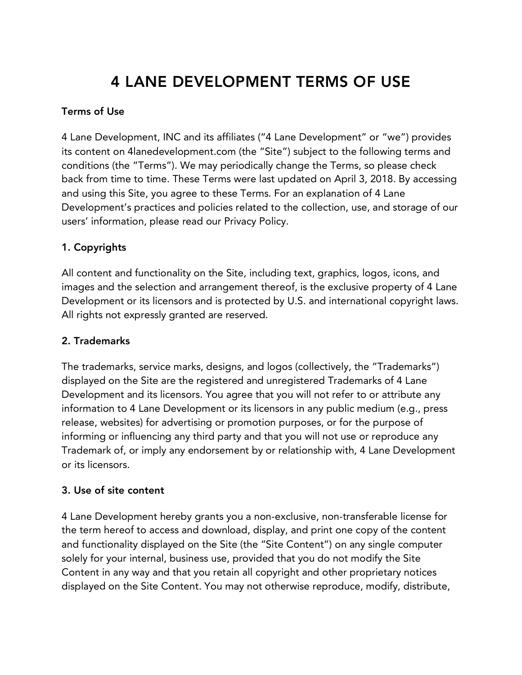# 4 LANE DEVELOPMENT TERMS OF USE

## Terms of Use

4 Lane Development, INC and its affiliates ("4 Lane Development" or "we") provides its content on 4lanedevelopment.com (the "Site") subject to the following terms and conditions (the "Terms"). We may periodically change the Terms, so please check back from time to time. These Terms were last updated on April 3, 2018. By accessing and using this Site, you agree to these Terms. For an explanation of 4 Lane Development's practices and policies related to the collection, use, and storage of our users' information, please read our Privacy Policy.

## 1. Copyrights

All content and functionality on the Site, including text, graphics, logos, icons, and images and the selection and arrangement thereof, is the exclusive property of 4 Lane Development or its licensors and is protected by U.S. and international copyright laws. All rights not expressly granted are reserved.

#### 2. Trademarks

The trademarks, service marks, designs, and logos (collectively, the "Trademarks") displayed on the Site are the registered and unregistered Trademarks of 4 Lane Development and its licensors. You agree that you will not refer to or attribute any information to 4 Lane Development or its licensors in any public medium (e.g., press release, websites) for advertising or promotion purposes, or for the purpose of informing or influencing any third party and that you will not use or reproduce any Trademark of, or imply any endorsement by or relationship with, 4 Lane Development or its licensors.

#### 3. Use of site content

4 Lane Development hereby grants you a non-exclusive, non-transferable license for the term hereof to access and download, display, and print one copy of the content and functionality displayed on the Site (the "Site Content") on any single computer solely for your internal, business use, provided that you do not modify the Site Content in any way and that you retain all copyright and other proprietary notices displayed on the Site Content. You may not otherwise reproduce, modify, distribute,